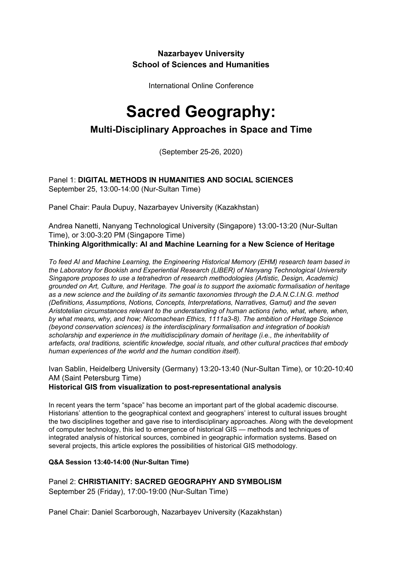## **Nazarbayev University School of Sciences and Humanities**

International Online Conference

# **Sacred Geography:**

## **Multi-Disciplinary Approaches in Space and Time**

(September 25-26, 2020)

Panel 1: **DIGITAL METHODS IN HUMANITIES AND SOCIAL SCIENCES** September 25, 13:00-14:00 (Nur-Sultan Time)

Panel Chair: Paula Dupuy, Nazarbayev University (Kazakhstan)

Andrea Nanetti, Nanyang Technological University (Singapore) 13:00-13:20 (Nur-Sultan Time), or 3:00-3:20 PM (Singapore Time) **Thinking Algorithmically: AI and Machine Learning for a New Science of Heritage**

*To feed AI and Machine Learning, the Engineering Historical Memory (EHM) research team based in the Laboratory for Bookish and Experiential Research (LIBER) of Nanyang Technological University Singapore proposes to use a tetrahedron of research methodologies (Artistic, Design, Academic) grounded on Art, Culture, and Heritage. The goal is to support the axiomatic formalisation of heritage as a new science and the building of its semantic taxonomies through the D.A.N.C.I.N.G. method (Definitions, Assumptions, Notions, Concepts, Interpretations, Narratives, Gamut) and the seven Aristotelian circumstances relevant to the understanding of human actions (who, what, where, when, by what means, why, and how; Nicomachean Ethics, 1111a3-8). The ambition of Heritage Science (beyond conservation sciences) is the interdisciplinary formalisation and integration of bookish scholarship and experience in the multidisciplinary domain of heritage (i.e., the inheritability of artefacts, oral traditions, scientific knowledge, social rituals, and other cultural practices that embody human experiences of the world and the human condition itself).*

Ivan Sablin, Heidelberg University (Germany) 13:20-13:40 (Nur-Sultan Time), or 10:20-10:40 AM (Saint Petersburg Time)

**Historical GIS from visualization to post-representational analysis**

In recent years the term "space" has become an important part of the global academic discourse. Historians' attention to the geographical context and geographers' interest to cultural issues brought the two disciplines together and gave rise to interdisciplinary approaches. Along with the development of computer technology, this led to emergence of historical GIS — methods and techniques of integrated analysis of historical sources, combined in geographic information systems. Based on several projects, this article explores the possibilities of historical GIS methodology.

## **Q&A Session 13:40-14:00 (Nur-Sultan Time)**

Panel 2: **CHRISTIANITY: SACRED GEOGRAPHY AND SYMBOLISM** September 25 (Friday), 17:00-19:00 (Nur-Sultan Time)

Panel Chair: Daniel Scarborough, Nazarbayev University (Kazakhstan)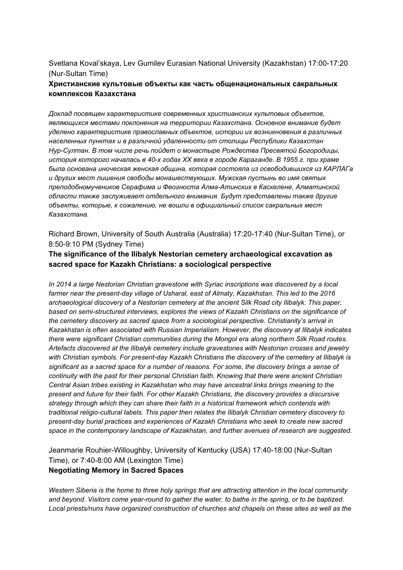## Svetlana Koval'skaya, Lev Gumilev Eurasian National University (Kazakhstan) 17:00-17:20 (Nur-Sultan Time)

## **Христианские культовые объекты как часть общенациональных сакральных комплексов Казахстана**

*Доклад посвящен характеристике современных христианских культовых объектов, являющихся местами поклонения на территории Казахстана. Основное внимание будет уделено характеристике православных объектов, истории их возникновения в различных населенных пунктах и в различной удаленности от столицы Республики Казахстан Нур-Султан. В том числе речь пойдет о монастыре Рождества Пресвятой Богородицы, история которого началась в 40-х годах ХХ века в городе Караганде. В 1955 г. при храме была основана иноческая женская община, которая состояла из освободившихся из КАРЛАГа и других мест лишения свободы монашествующих. Мужская пустынь во имя святых преподобномучеников Серафима и Феогноста Алма-Атинских в Каскелене, Алматинской области также заслуживает отдельного внимания. Будут представлены также другие объекты, которые, к сожалению, не вошли в официальный список сакральных мест Казахстана.*

Richard Brown, University of South Australia (Australia) 17:20-17:40 (Nur-Sultan Time), or 8:50-9:10 PM (Sydney Time)

## **The significance of the Ilibalyk Nestorian cemetery archaeological excavation as sacred space for Kazakh Christians: a sociological perspective**

*In 2014 a large Nestorian Christian gravestone with Syriac inscriptions was discovered by a local farmer near the present-day village of Usharal, east of Almaty, Kazakhstan. This led to the 2016 archaeological discovery of a Nestorian cemetery at the ancient Silk Road city Ilibalyk. This paper, based on semi-structured interviews, explores the views of Kazakh Christians on the significance of the cemetery discovery as sacred space from a sociological perspective. Christianity's arrival in Kazakhstan is often associated with Russian Imperialism. However, the discovery at Ilibalyk indicates there were significant Christian communities during the Mongol era along northern Silk Road routes. Artefacts discovered at the Ilibalyk cemetery include gravestones with Nestorian crosses and jewelry with Christian symbols. For present-day Kazakh Christians the discovery of the cemetery at Ilibalyk is significant as a sacred space for a number of reasons. For some, the discovery brings a sense of continuity with the past for their personal Christian faith. Knowing that there were ancient Christian Central Asian tribes existing in Kazakhstan who may have ancestral links brings meaning to the present and future for their faith. For other Kazakh Christians, the discovery provides a discursive strategy through which they can share their faith in a historical framework which contends with traditional religio-cultural labels. This paper then relates the Ilibalyk Christian cemetery discovery to present-day burial practices and experiences of Kazakh Christians who seek to create new sacred space in the contemporary landscape of Kazakhstan, and further avenues of research are suggested.*

Jeanmarie Rouhier-Willoughby, University of Kentucky (USA) 17:40-18:00 (Nur-Sultan Time), or 7:40-8:00 AM (Lexington Time) **Negotiating Memory in Sacred Spaces**

*Western Siberia is the home to three holy springs that are attracting attention in the local community* and beyond. Visitors come year-round to gather the water, to bathe in the spring, or to be baptized. *Local priests/nuns have organized construction of churches and chapels on these sites as well as the*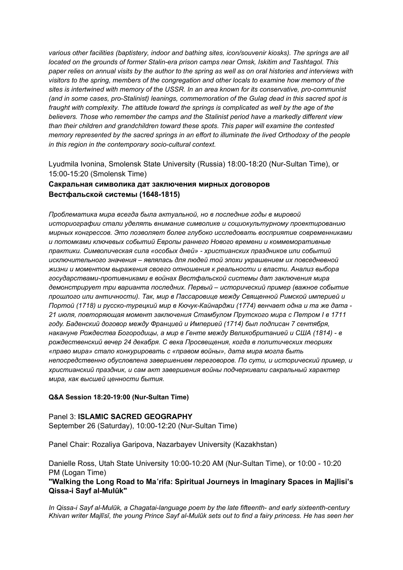*various other facilities (baptistery, indoor and bathing sites, icon/souvenir kiosks). The springs are all located on the grounds of former Stalin-era prison camps near Omsk, Iskitim and Tashtagol. This* paper relies on annual visits by the author to the spring as well as on oral histories and interviews with *visitors to the spring, members of the congregation and other locals to examine how memory of the sites is intertwined with memory of the USSR. In an area known for its conservative, pro-communist (and in some cases, pro-Stalinist) leanings, commemoration of the Gulag dead in this sacred spot is fraught with complexity. The attitude toward the springs is complicated as well by the age of the believers. Those who remember the camps and the Stalinist period have a markedly different view than their children and grandchildren toward these spots. This paper will examine the contested memory represented by the sacred springs in an effort to illuminate the lived Orthodoxy of the people in this region in the contemporary socio-cultural context.*

Lyudmila Ivonina, Smolensk State University (Russia) 18:00-18:20 (Nur-Sultan Time), or 15:00-15:20 (Smolensk Time)

## **Сакральная символика дат заключения мирных договоров Вестфальской системы (1648-1815)**

*Проблематика мира всегда была актуальной, но в последние годы в мировой историографии стали уделять внимание символике и социокультурному проектированию мирных конгрессов. Это позволяет более глубоко исследовать восприятие современниками и потомками ключевых событий Европы раннего Нового времени и коммеморативные практики. Символическая сила «особых дней» - христианских праздников или событий исключительного значения – являлась для людей той эпохи украшением их повседневной жизни и моментом выражения своего отношения к реальности и власти. Анализ выбора государствами-противниками в войнах Вестфальской системы дат заключения мира демонстрирует три варианта последних. Первый – исторический пример (важное событие прошлого или античности). Так, мир в Пассаровице между Священной Римской империей и Портой (1718) и русско-турецкий мир в Кючук-Кайнарджи (1774) венчает одна и та же дата - 21 июля, повторяющая момент заключения Стамбулом Прутского мира с Петром I в 1711 году. Баденский договор между Францией и Империей (1714) был подписан 7 сентября, накануне Рождества Богородицы, а мир в Генте между Великобританией и США (1814) - в рождественский вечер 24 декабря. С века Просвещения, когда в политических теориях «право мира» стало конкурировать с «правом войны», дата мира могла быть непосредственно обусловлена завершением переговоров. По сути, и исторический пример, и христианский праздник, и сам акт завершения войны подчеркивали сакральный характер мира, как высшей ценности бытия.*

#### **Q&A Session 18:20-19:00 (Nur-Sultan Time)**

Panel 3: **ISLAMIC SACRED GEOGRAPHY** September 26 (Saturday), 10:00-12:20 (Nur-Sultan Time)

Panel Chair: Rozaliya Garipova, Nazarbayev University (Kazakhstan)

Danielle Ross, Utah State University 10:00-10:20 AM (Nur-Sultan Time), or 10:00 - 10:20 PM (Logan Time)

**"Walking the Long Road to Ma**ʿ**rifa: Spiritual Journeys in Imaginary Spaces in Majlisi's Qissa-i Sayf al-Mulūk"**

*In Qissa-i Sayf al-Mulūk, a Chagatai-language poem by the late fifteenth- and early sixteenth-century* Khivan writer Majlīsī, the young Prince Sayf al-Mulūk sets out to find a fairy princess. He has seen her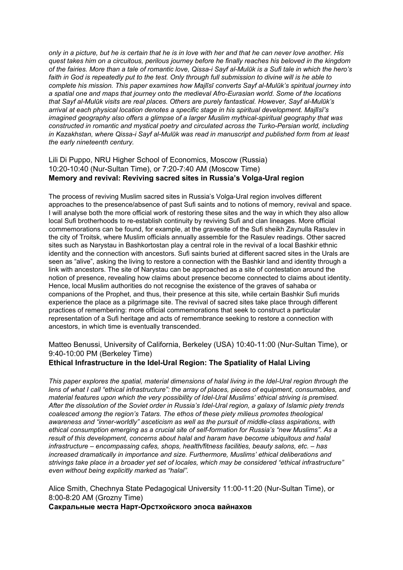only in a picture, but he is certain that he is in love with her and that he can never love another. His *quest takes him on a circuitous, perilous journey before he finally reaches his beloved in the kingdom* of the fairies. More than a tale of romantic love, Qissa-i Sayf al-Mulūk is a Sufi tale in which the hero's faith in God is repeatedly put to the test. Only through full submission to divine will is he able to *complete his mission. This paper examines how Majlīsī converts Sayf al-Mulūk's spiritual journey into a spatial one and maps that journey onto the medieval Afro-Eurasian world. Some of the locations that Sayf al-Mulūk visits are real places. Others are purely fantastical. However, Sayf al-Mulūk's arrival at each physical location denotes a specific stage in his spiritual development. Majlīsī's imagined geography also offers a glimpse of a larger Muslim mythical-spiritual geography that was constructed in romantic and mystical poetry and circulated across the Turko-Persian world, including in Kazakhstan, where Qissa-i Sayf al-Mulūk was read in manuscript and published form from at least the early nineteenth century.*

## Lili Di Puppo, NRU Higher School of Economics, Moscow (Russia) 10:20-10:40 (Nur-Sultan Time), or 7:20-7:40 AM (Moscow Time) **Memory and revival: Reviving sacred sites in Russia's Volga-Ural region**

The process of reviving Muslim sacred sites in Russia's Volga-Ural region involves different approaches to the presence/absence of past Sufi saints and to notions of memory, revival and space. I will analyse both the more official work of restoring these sites and the way in which they also allow local Sufi brotherhoods to re-establish continuity by reviving Sufi and clan lineages. More official commemorations can be found, for example, at the gravesite of the Sufi sheikh Zaynulla Rasulev in the city of Troitsk, where Muslim officials annually assemble for the Rasulev readings. Other sacred sites such as Narystau in Bashkortostan play a central role in the revival of a local Bashkir ethnic identity and the connection with ancestors. Sufi saints buried at different sacred sites in the Urals are seen as "alive", asking the living to restore a connection with the Bashkir land and identity through a link with ancestors. The site of Narystau can be approached as a site of contestation around the notion of presence, revealing how claims about presence become connected to claims about identity. Hence, local Muslim authorities do not recognise the existence of the graves of sahaba or companions of the Prophet, and thus, their presence at this site, while certain Bashkir Sufi murids experience the place as a pilgrimage site. The revival of sacred sites take place through different practices of remembering: more official commemorations that seek to construct a particular representation of a Sufi heritage and acts of remembrance seeking to restore a connection with ancestors, in which time is eventually transcended.

Matteo Benussi, University of California, Berkeley (USA) 10:40-11:00 (Nur-Sultan Time), or 9:40-10:00 PM (Berkeley Time)

## **Ethical Infrastructure in the Idel-Ural Region: The Spatiality of Halal Living**

*This paper explores the spatial, material dimensions of halal living in the Idel-Ural region through the lens of what I call "ethical infrastructure": the array of places, pieces of equipment, consumables, and material features upon which the very possibility of Idel-Ural Muslims' ethical striving is premised. After the dissolution of the Soviet order in Russia's Idel-Ural region, a galaxy of Islamic piety trends coalesced among the region's Tatars. The ethos of these piety milieus promotes theological awareness and "inner-worldly" asceticism as well as the pursuit of middle-class aspirations, with ethical consumption emerging as a crucial site of self-formation for Russia's "new Muslims". As a result of this development, concerns about halal and haram have become ubiquitous and halal infrastructure – encompassing cafes, shops, health/fitness facilities, beauty salons, etc. – has increased dramatically in importance and size. Furthermore, Muslims' ethical deliberations and strivings take place in a broader yet set of locales, which may be considered "ethical infrastructure" even without being explicitly marked as "halal".*

Alice Smith, Chechnya State Pedagogical University 11:00-11:20 (Nur-Sultan Time), or 8:00-8:20 AM (Grozny Time)

**Сакральные места Нарт-Орстхойского эпоса вайнахов**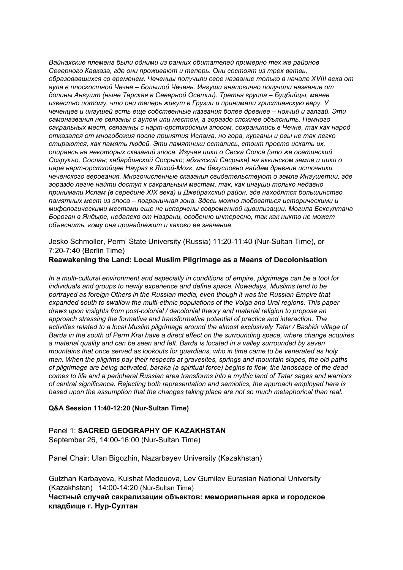*Вайнахские племена были одними из ранних обитателей примерно тех же районов Северного Кавказа, где они проживают и теперь. Они состоят из трех ветвь, образовавшихся со временем. Чеченцы получили свое название только в начале XVIII века от аула в плоскостной Чечне – Большой Чечень. Ингуши аналогично получили название от долины Ангушт (ныне Тарская в Северной Осетии). Третья группа – Буцбийцы, менее известно потому, что они теперь живут в Грузии и принимали христианскую веру. У чеченцев и ингушей есть еще собственные названия более древнее – нохчий и галгай. Эти самоназвания не связаны с аулом или местом, а гораздо сложнее объяснить. Немного сакральных мест, связанны с нарт-орстхойским эпосом, сохранились в Чечне, так как народ отказался от многобожия после принятия Ислама, но гора, курганы и рвы не так легко стираются, как память людей. Эти памятники остались, стоит просто искать их, опираясь на некоторых сказаний эпоса. Изучая цикл о Сеска Солса (это же осетинский Созрукъо, Сослан; кабардинский Сосрыко; абхазский Сасрыка) на аккинском земле и цикл о царе нарт-орстхойцев Наураз в Ялхой-Мохк, мы безусловно найдем древние источники чеченского верования. Многочисленные сказания свидетельствуют о земле Ингушетии, где гораздо легче найти доступ к сакральным местам, так, как ингуши только недавно принимали Ислам (в середине XIX века) и Джейрахский район, где находятся большинство памятных мест из эпоса – пограничная зона. Здесь можно любоваться историческими и мифологическими местами еще не испорчены современной цивилизации. Могила Бексултана Бороган в Яндыре, недалеко от Назрани, особенно интересно, так как никто не может объяснить, кому она принадлежит и каково ее значение.*

Jesko Schmoller, Perm' State University (Russia) 11:20-11:40 (Nur-Sultan Time), or 7:20-7:40 (Berlin Time)

## **Reawakening the Land: Local Muslim Pilgrimage as a Means of Decolonisation**

*In a multi-cultural environment and especially in conditions of empire, pilgrimage can be a tool for individuals and groups to newly experience and define space. Nowadays, Muslims tend to be portrayed as foreign Others in the Russian media, even though it was the Russian Empire that expanded south to swallow the multi-ethnic populations of the Volga and Ural regions. This paper draws upon insights from post-colonial / decolonial theory and material religion to propose an approach stressing the formative and transformative potential of practice and interaction. The activities related to a local Muslim pilgrimage around the almost exclusively Tatar / Bashkir village of* Barda in the south of Perm Krai have a direct effect on the surrounding space, where change acquires *a material quality and can be seen and felt. Barda is located in a valley surrounded by seven mountains that once served as lookouts for guardians, who in time came to be venerated as holy men. When the pilgrims pay their respects at gravesites, springs and mountain slopes, the old paths of pilgrimage are being activated, baraka (a spiritual force) begins to flow, the landscape of the dead* comes to life and a peripheral Russian area transforms into a mythic land of Tatar sages and warriors *of central significance. Rejecting both representation and semiotics, the approach employed here is based upon the assumption that the changes taking place are not so much metaphorical than real.*

#### **Q&A Session 11:40-12:20 (Nur-Sultan Time)**

#### Panel 1: **SACRED GEOGRAPHY OF KAZAKHSTAN**

September 26, 14:00-16:00 (Nur-Sultan Time)

Panel Chair: Ulan Bigozhin, Nazarbayev University (Kazakhstan)

Gulzhan Karbayeva, Kulshat Medeuova, Lev Gumilev Eurasian National University (Kazakhstan) 14:00-14:20 (Nur-Sultan Time)

**Частный случай сакрализации объектов: мемориальная арка и городское кладбище г. Нур-Султан**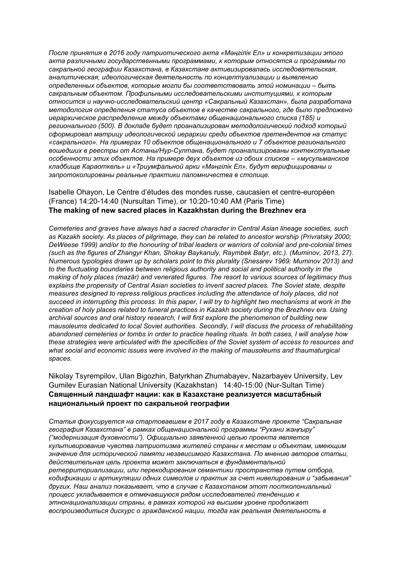*После принятия в 2016 году патриотического акта «Мəңгілік Ел» и конкретизации этого акта различными государственными программами, к которым относятся и программы по сакральной географии Казахстана, в Казахстане активизировалась исследовательская, аналитическая, идеологическая деятельность по концептуализации и выявлению определенных объектов, которые могли бы соответствовать этой номинации – быть сакральным объектом. Профильными исследовательскими институциями, к которым относится и научно-исследовательский центр «Сакральный Казахстан», была разработана методология определения статуса объектов в качестве сакрального, где было предложено иерархическое распределение между объектами общенационального списка (185) и регионального (500). В докладе будет проанализирован методологический подход который сформировал матрицу идеологической иерархии среди объектов претендентов на статус «сакрального». На примерах 10 объектов общенационального и 7 объектов регионального вошедших в реестры от Астаны/Нур-Султана, будет проанализированы контекстуальные особенности этих объектов. На примере двух объектов из обоих списков – «мусульманское кладбище Караоткель» и «Триумфальной арки «Мəңгілік Ел», будут верифицированы и запротоколированы реальные практики паломничества в столице.*

### Isabelle Ohayon, Le Centre d'études des mondes russe, caucasien et centre-européen (France) 14:20-14:40 (Nursultan Time), or 10:20-10:40 AM (Paris Time) **The making of new sacred places in Kazakhstan during the Brezhnev era**

*Cemeteries and graves have always had a sacred character in Central Asian lineage societies, such as Kazakh society. As places of pilgrimage, they can be related to ancestor worship (Privratsky 2000; DeWeese 1999) and/or to the honouring of tribal leaders or warriors of colonial and pre-colonial times (such as the figures of Zhangyr Khan, Shokay Baykanuly, Raymbek Batyr, etc.). (Muminov, 2013, 27). Numerous typologies drawn up by scholars point to this plurality (Snesarev 1969; Muminov 2013) and to the fluctuating boundaries between religious authority and social and political authority in the making of holy places (mazār) and venerated figures. The resort to various sources of legitimacy thus explains the propensity of Central Asian societies to invent sacred places. The Soviet state, despite measures designed to repress religious practices including the attendance of holy places, did not* succeed in interrupting this process. In this paper, I will try to highlight two mechanisms at work in the *creation of holy places related to funeral practices in Kazakh society during the Brezhnev era. Using archival sources and oral history research, I will first explore the phenomenon of building new mausoleums dedicated to local Soviet authorities. Secondly, I will discuss the process of rehabilitating abandoned cemeteries or tombs in order to practice healing rituals. In both cases, I will analyse how these strategies were articulated with the specificities of the Soviet system of access to resources and what social and economic issues were involved in the making of mausoleums and thaumaturgical spaces.*

## Nikolay Tsyrempilov, Ulan Bigozhin, Batyrkhan Zhumabayev, Nazarbayev University, Lev Gumilev Eurasian National University (Kazakhstan) 14:40-15:00 (Nur-Sultan Time) **Священный ландшафт нации: как в Казахстане реализуется масштабный национальный проект по сакральной географии**

*Статья фокусируется на стартовавшем в 2017 году в Казахстане проекте "Сакральная география Казахстана" в рамках общенациональной программы "Рухани жаңғыру" ("модернизация духовности"). Официально заявленной целью проекта является культивирование чувства патриотизма жителей страны к местам и объектам, имеющим значение для исторической памяти независимого Казахстана. По мнению авторов статьи, действительная цель проекта может заключаться в фундаментальной ретерриториализации, или перекодирования семантики пространства путем отбора, кодификации и артикуляции одних символов и практик за счет нивелирования и "забывания" других. Наш анализ показывает, что в случае с Казахстаном этот постколониальный процесс укладывается в отмечавшуюся рядом исследователей тенденцию к этнонационализации страны, в рамках которой на высшем уровне продолжает воспроизводиться дискурс о гражданской нации, тогда как реальная деятельность в*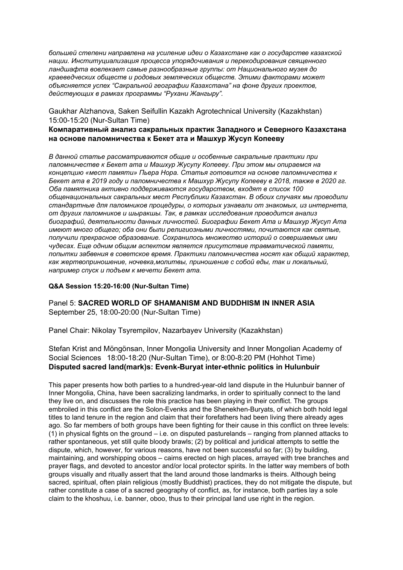*большей степени направлена на усиление идеи о Казахстане как о государстве казахской нации. Институциализация процесса упорядочивания и перекодирования священного ландшафта вовлекает самые разнообразные группы: от Национального музея до краеведческих обществ и родовых земляческих обществ. Этими факторами может объясняется успех "Сакральной географии Казахстана" на фоне других проектов, действующих в рамках программы "Рухани Жангыру".*

Gaukhar Alzhanova, Saken Seifullin Kazakh Agrotechnical University (Kazakhstan) 15:00-15:20 (Nur-Sultan Time)

#### **Компаративный анализ сакральных практик Западного и Северного Казахстана на основе паломничества к Бекет ата и Машхур Жусуп Копееву**

*В данной статье рассматриваются общие и особенные сакральные практики при паломничестве к Бекет ата и Машхур Жусупу Копееву. При этом мы опираемся на концепцию «мест памяти» Пьера Нора. Статья готовится на основе паломничества к Бекет ата в 2019 году и паломничества к Машхур Жусупу Копееву в 2018, также в 2020 гг. Оба памятника активно поддерживаются государством, входят в список 100 общенациональных сакральных мест Республики Казахстан. В обоих случаях мы проводили стандартные для паломников процедуры, о которых узнавали от знакомых, из интернета, от других паломников и шыракшы. Так, в рамках исследования проводится анализ биографий, деятельности данных личностей. Биографии Бекет Ата и Машхур Жусуп Ата имеют много общего; оба они были религиозными личностями, почитаются как святые, получили прекрасное образование. Сохранилось множество историй о совершаемых ими чудесах. Еще одним общим аспектом является присутствие травматической памяти, попытки забвения в советское время. Практики паломничества носят как общий характер, как жертвоприношение, ночевка,молитвы, приношение с собой еды, так и локальный, например спуск и подъем к мечети Бекет ата.*

#### **Q&A Session 15:20-16:00 (Nur-Sultan Time)**

Panel 5: **SACRED WORLD OF SHAMANISM AND BUDDHISM IN INNER ASIA** September 25, 18:00-20:00 (Nur-Sultan Time)

Panel Chair: Nikolay Tsyrempilov, Nazarbayev University (Kazakhstan)

Stefan Krist and Möngönsan, Inner Mongolia University and Inner Mongolian Academy of Social Sciences 18:00-18:20 (Nur-Sultan Time), or 8:00-8:20 PM (Hohhot Time) **Disputed sacred land(mark)s: Evenk-Buryat inter-ethnic politics in Hulunbuir**

This paper presents how both parties to a hundred-year-old land dispute in the Hulunbuir banner of Inner Mongolia, China, have been sacralizing landmarks, in order to spiritually connect to the land they live on, and discusses the role this practice has been playing in their conflict. The groups embroiled in this conflict are the Solon-Evenks and the Shenekhen-Buryats, of which both hold legal titles to land tenure in the region and claim that their forefathers had been living there already ages ago. So far members of both groups have been fighting for their cause in this conflict on three levels: (1) in physical fights on the ground – i.e. on disputed pasturelands – ranging from planned attacks to rather spontaneous, yet still quite bloody brawls; (2) by political and juridical attempts to settle the dispute, which, however, for various reasons, have not been successful so far; (3) by building, maintaining, and worshipping oboos – cairns erected on high places, arrayed with tree branches and prayer flags, and devoted to ancestor and/or local protector spirits. In the latter way members of both groups visually and ritually assert that the land around those landmarks is theirs. Although being sacred, spiritual, often plain religious (mostly Buddhist) practices, they do not mitigate the dispute, but rather constitute a case of a sacred geography of conflict, as, for instance, both parties lay a sole claim to the khoshuu, i.e. banner, oboo, thus to their principal land use right in the region.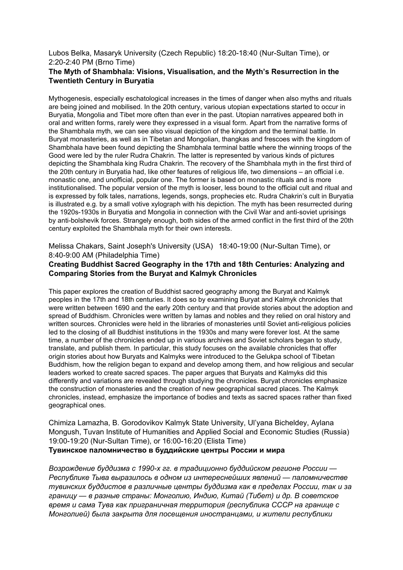Lubos Belka, Masaryk University (Czech Republic) 18:20-18:40 (Nur-Sultan Time), or 2:20-2:40 PM (Brno Time)

## **The Myth of Shambhala: Visions, Visualisation, and the Myth's Resurrection in the Twentieth Century in Buryatia**

Mythogenesis, especially eschatological increases in the times of danger when also myths and rituals are being joined and mobilised. In the 20th century, various utopian expectations started to occur in Buryatia, Mongolia and Tibet more often than ever in the past. Utopian narratives appeared both in oral and written forms, rarely were they expressed in a visual form. Apart from the narrative forms of the Shambhala myth, we can see also visual depiction of the kingdom and the terminal battle. In Buryat monasteries, as well as in Tibetan and Mongolian, thangkas and frescoes with the kingdom of Shambhala have been found depicting the Shambhala terminal battle where the winning troops of the Good were led by the ruler Rudra Chakrin. The latter is represented by various kinds of pictures depicting the Shambhala king Rudra Chakrin. The recovery of the Shambhala myth in the first third of the 20th century in Buryatia had, like other features of religious life, two dimensions – an official i.e. monastic one, and unofficial, popular one. The former is based on monastic rituals and is more institutionalised. The popular version of the myth is looser, less bound to the official cult and ritual and is expressed by folk tales, narrations, legends, songs, prophecies etc. Rudra Chakrin's cult in Buryatia is illustrated e.g. by a small votive xylograph with his depiction. The myth has been resurrected during the 1920s-1930s in Buryatia and Mongolia in connection with the Civil War and anti-soviet uprisings by anti-bolshevik forces. Strangely enough, both sides of the armed conflict in the first third of the 20th century exploited the Shambhala myth for their own interests.

Melissa Chakars, Saint Joseph's University (USA) 18:40-19:00 (Nur-Sultan Time), or 8:40-9:00 AM (Philadelphia Time)

## **Creating Buddhist Sacred Geography in the 17th and 18th Centuries: Analyzing and Comparing Stories from the Buryat and Kalmyk Chronicles**

This paper explores the creation of Buddhist sacred geography among the Buryat and Kalmyk peoples in the 17th and 18th centuries. It does so by examining Buryat and Kalmyk chronicles that were written between 1690 and the early 20th century and that provide stories about the adoption and spread of Buddhism. Chronicles were written by lamas and nobles and they relied on oral history and written sources. Chronicles were held in the libraries of monasteries until Soviet anti-religious policies led to the closing of all Buddhist institutions in the 1930s and many were forever lost. At the same time, a number of the chronicles ended up in various archives and Soviet scholars began to study, translate, and publish them. In particular, this study focuses on the available chronicles that offer origin stories about how Buryats and Kalmyks were introduced to the Gelukpa school of Tibetan Buddhism, how the religion began to expand and develop among them, and how religious and secular leaders worked to create sacred spaces. The paper argues that Buryats and Kalmyks did this differently and variations are revealed through studying the chronicles. Buryat chronicles emphasize the construction of monasteries and the creation of new geographical sacred places. The Kalmyk chronicles, instead, emphasize the importance of bodies and texts as sacred spaces rather than fixed geographical ones.

Chimiza Lamazha, B. Gorodovikov Kalmyk State University, Ul'yana Bicheldey, Aylana Mongush, Tuvan Institute of Humanities and Applied Social and Economic Studies (Russia) 19:00-19:20 (Nur-Sultan Time), or 16:00-16:20 (Elista Time)

#### **Тувинское паломничество в буддийские центры России и мира**

*Возрождение буддизма с 1990-х гг. в традиционно буддийском регионе России — Республике Тыва выразилось в одном из интереснейших явлений — паломничестве тувинских буддистов в различные центры буддизма как в пределах России, так и за границу — в разные страны: Монголию, Индию, Китай (Тибет) и др. В советское время и сама Тува как приграничная территория (республика СССР на границе с Монголией) была закрыта для посещения иностранцами, и жители республики*